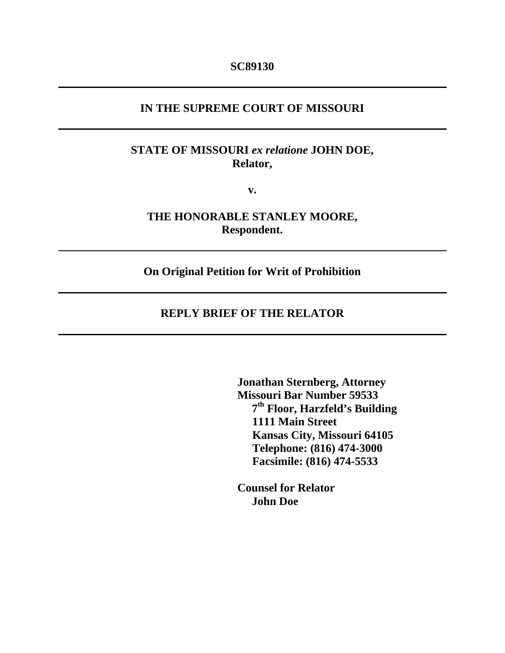#### **IN THE SUPREME COURT OF MISSOURI**

### **STATE OF MISSOURI** *ex relatione* **JOHN DOE, Relator,**

**v.** 

**THE HONORABLE STANLEY MOORE, Respondent.** 

**On Original Petition for Writ of Prohibition** 

### **REPLY BRIEF OF THE RELATOR**

 **Jonathan Sternberg, Attorney Missouri Bar Number 59533 7th Floor, Harzfeld's Building 1111 Main Street Kansas City, Missouri 64105 Telephone: (816) 474-3000 Facsimile: (816) 474-5533** 

 **Counsel for Relator John Doe**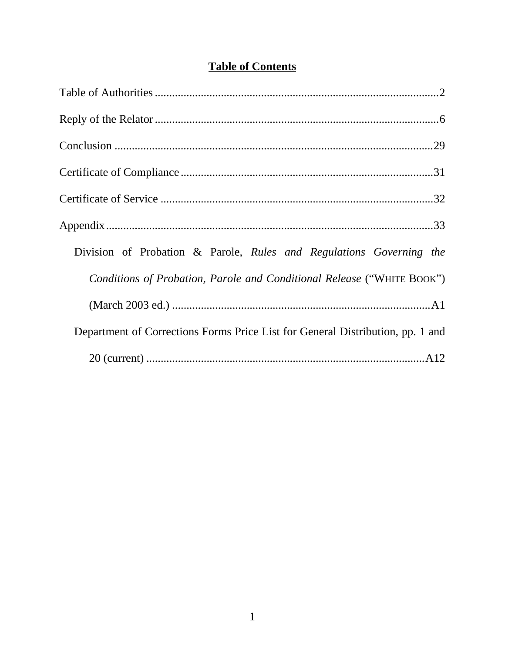|  | <b>Table of Contents</b> |
|--|--------------------------|
|  |                          |

| Division of Probation & Parole, Rules and Regulations Governing the            |
|--------------------------------------------------------------------------------|
| Conditions of Probation, Parole and Conditional Release ("WHITE BOOK")         |
|                                                                                |
| Department of Corrections Forms Price List for General Distribution, pp. 1 and |
|                                                                                |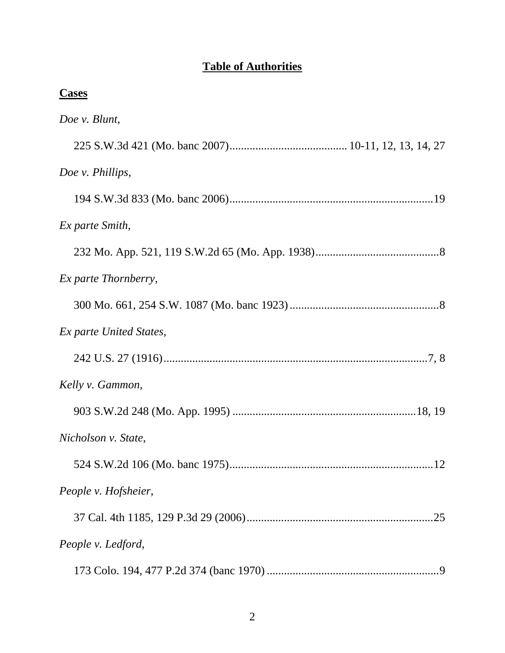# **Table of Authorities**

| <b>Cases</b>                |
|-----------------------------|
| Doe v. Blunt,               |
|                             |
| Doe v. Phillips,            |
|                             |
| Ex parte Smith,             |
|                             |
| <i>Ex parte Thornberry,</i> |
|                             |
| Ex parte United States,     |
|                             |
| Kelly v. Gammon,            |
|                             |
| Nicholson v. State,         |
|                             |
| People v. Hofsheier,        |
|                             |
| People v. Ledford,          |
|                             |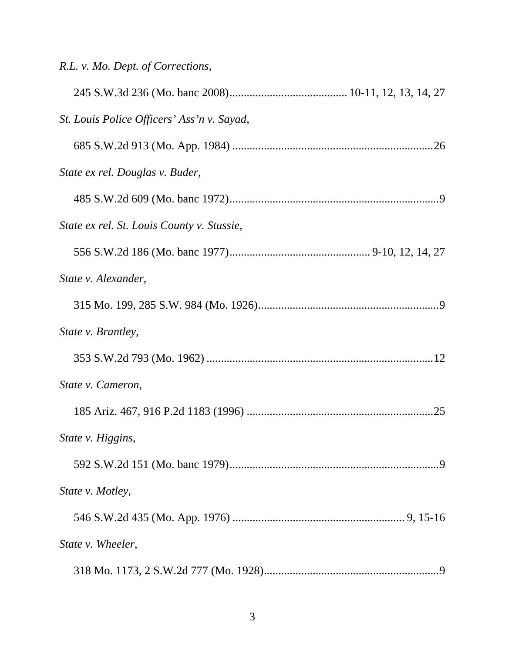|  |  |  |  |  |  | R.L. v. Mo. Dept. of Corrections, |
|--|--|--|--|--|--|-----------------------------------|
|--|--|--|--|--|--|-----------------------------------|

| St. Louis Police Officers' Ass'n v. Sayad, |
|--------------------------------------------|
|                                            |
| State ex rel. Douglas v. Buder,            |
|                                            |
| State ex rel. St. Louis County v. Stussie, |
|                                            |
| State v. Alexander,                        |
|                                            |
| State v. Brantley,                         |
|                                            |
| State v. Cameron,                          |
|                                            |
| State v. Higgins,                          |
|                                            |
| State v. Motley,                           |
|                                            |
| State v. Wheeler,                          |
|                                            |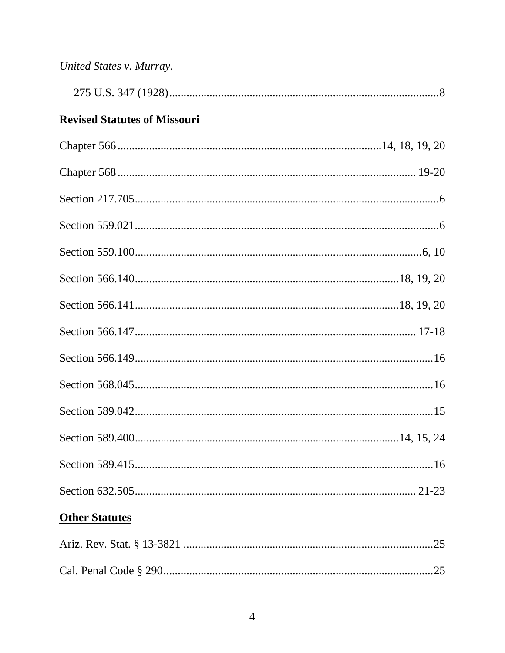| United States v. Murray,            |
|-------------------------------------|
|                                     |
| <b>Revised Statutes of Missouri</b> |
|                                     |
|                                     |
|                                     |
|                                     |
|                                     |
|                                     |
|                                     |
|                                     |
|                                     |
|                                     |
|                                     |
|                                     |
|                                     |
|                                     |
| <b>Other Statutes</b>               |
|                                     |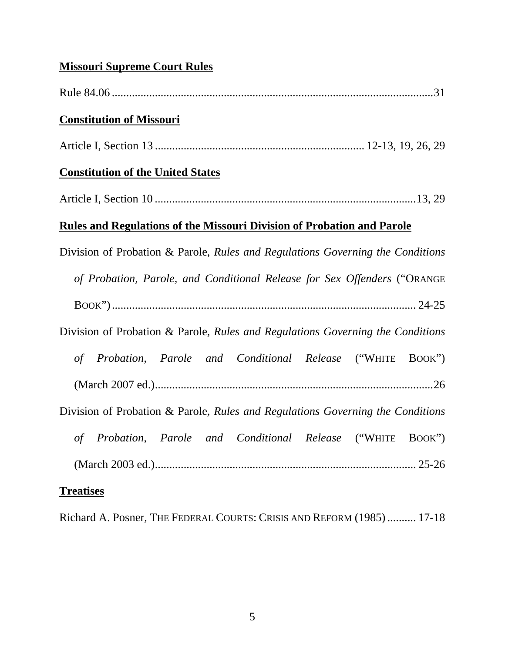# **Missouri Supreme Court Rules**

| <b>Constitution of Missouri</b>                                                |
|--------------------------------------------------------------------------------|
|                                                                                |
| <b>Constitution of the United States</b>                                       |
|                                                                                |
| <b>Rules and Regulations of the Missouri Division of Probation and Parole</b>  |
| Division of Probation & Parole, Rules and Regulations Governing the Conditions |
| of Probation, Parole, and Conditional Release for Sex Offenders ("ORANGE       |
|                                                                                |
| Division of Probation & Parole, Rules and Regulations Governing the Conditions |
| of Probation, Parole and Conditional Release ("WHITE BOOK")                    |
|                                                                                |
| Division of Probation & Parole, Rules and Regulations Governing the Conditions |
| of Probation, Parole and Conditional Release ("WHITE BOOK")                    |
|                                                                                |
| <b>Treatises</b>                                                               |

Richard A. Posner, THE FEDERAL COURTS: CRISIS AND REFORM (1985) .......... 17-18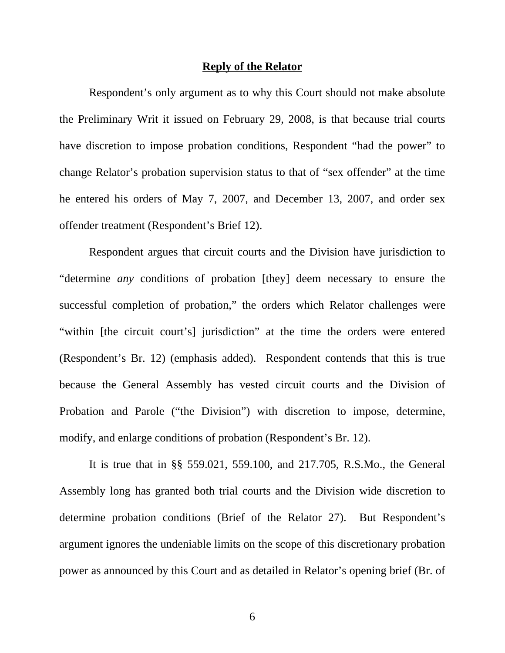#### **Reply of the Relator**

 Respondent's only argument as to why this Court should not make absolute the Preliminary Writ it issued on February 29, 2008, is that because trial courts have discretion to impose probation conditions, Respondent "had the power" to change Relator's probation supervision status to that of "sex offender" at the time he entered his orders of May 7, 2007, and December 13, 2007, and order sex offender treatment (Respondent's Brief 12).

Respondent argues that circuit courts and the Division have jurisdiction to "determine *any* conditions of probation [they] deem necessary to ensure the successful completion of probation," the orders which Relator challenges were "within [the circuit court's] jurisdiction" at the time the orders were entered (Respondent's Br. 12) (emphasis added). Respondent contends that this is true because the General Assembly has vested circuit courts and the Division of Probation and Parole ("the Division") with discretion to impose, determine, modify, and enlarge conditions of probation (Respondent's Br. 12).

 It is true that in §§ 559.021, 559.100, and 217.705, R.S.Mo., the General Assembly long has granted both trial courts and the Division wide discretion to determine probation conditions (Brief of the Relator 27). But Respondent's argument ignores the undeniable limits on the scope of this discretionary probation power as announced by this Court and as detailed in Relator's opening brief (Br. of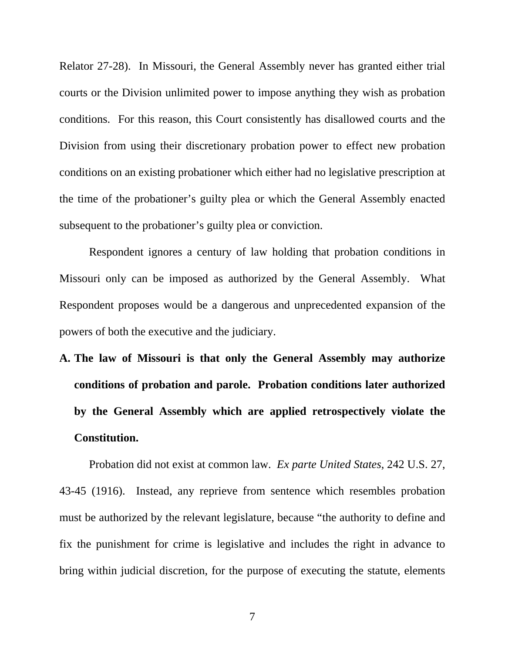Relator 27-28). In Missouri, the General Assembly never has granted either trial courts or the Division unlimited power to impose anything they wish as probation conditions. For this reason, this Court consistently has disallowed courts and the Division from using their discretionary probation power to effect new probation conditions on an existing probationer which either had no legislative prescription at the time of the probationer's guilty plea or which the General Assembly enacted subsequent to the probationer's guilty plea or conviction.

Respondent ignores a century of law holding that probation conditions in Missouri only can be imposed as authorized by the General Assembly. What Respondent proposes would be a dangerous and unprecedented expansion of the powers of both the executive and the judiciary.

**A. The law of Missouri is that only the General Assembly may authorize conditions of probation and parole. Probation conditions later authorized by the General Assembly which are applied retrospectively violate the Constitution.** 

 Probation did not exist at common law. *Ex parte United States*, 242 U.S. 27, 43-45 (1916). Instead, any reprieve from sentence which resembles probation must be authorized by the relevant legislature, because "the authority to define and fix the punishment for crime is legislative and includes the right in advance to bring within judicial discretion, for the purpose of executing the statute, elements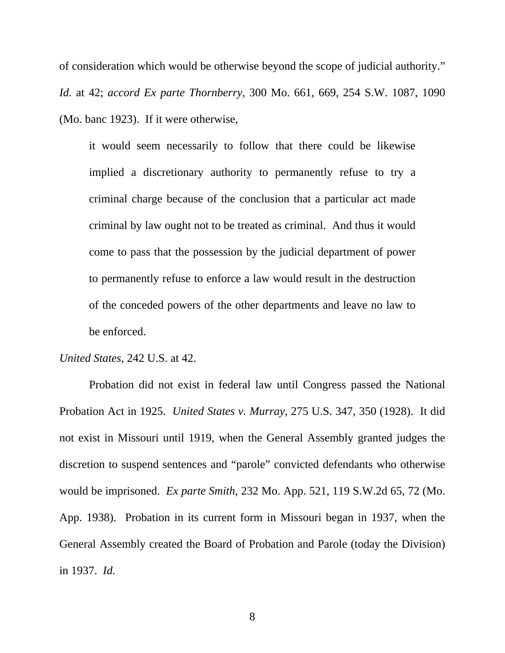of consideration which would be otherwise beyond the scope of judicial authority." *Id.* at 42; *accord Ex parte Thornberry*, 300 Mo. 661, 669, 254 S.W. 1087, 1090 (Mo. banc 1923). If it were otherwise,

it would seem necessarily to follow that there could be likewise implied a discretionary authority to permanently refuse to try a criminal charge because of the conclusion that a particular act made criminal by law ought not to be treated as criminal. And thus it would come to pass that the possession by the judicial department of power to permanently refuse to enforce a law would result in the destruction of the conceded powers of the other departments and leave no law to be enforced.

#### *United States*, 242 U.S. at 42.

Probation did not exist in federal law until Congress passed the National Probation Act in 1925. *United States v. Murray*, 275 U.S. 347, 350 (1928). It did not exist in Missouri until 1919, when the General Assembly granted judges the discretion to suspend sentences and "parole" convicted defendants who otherwise would be imprisoned. *Ex parte Smith*, 232 Mo. App. 521, 119 S.W.2d 65, 72 (Mo. App. 1938). Probation in its current form in Missouri began in 1937, when the General Assembly created the Board of Probation and Parole (today the Division) in 1937. *Id.*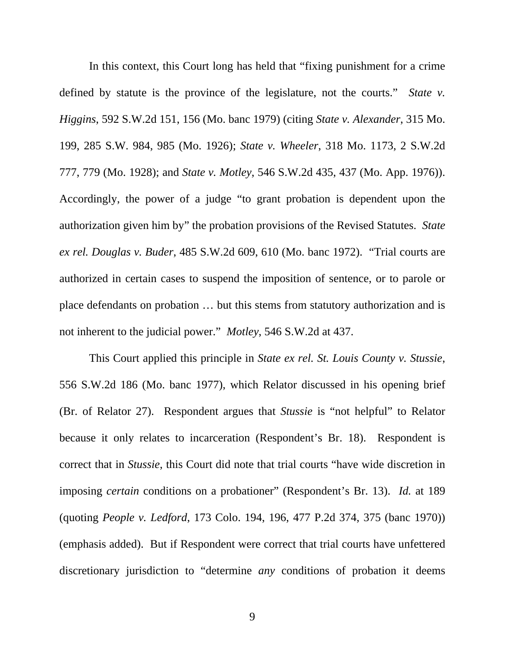In this context, this Court long has held that "fixing punishment for a crime defined by statute is the province of the legislature, not the courts." *State v. Higgins*, 592 S.W.2d 151, 156 (Mo. banc 1979) (citing *State v. Alexander*, 315 Mo. 199, 285 S.W. 984, 985 (Mo. 1926); *State v. Wheeler*, 318 Mo. 1173, 2 S.W.2d 777, 779 (Mo. 1928); and *State v. Motley*, 546 S.W.2d 435, 437 (Mo. App. 1976)). Accordingly, the power of a judge "to grant probation is dependent upon the authorization given him by" the probation provisions of the Revised Statutes. *State ex rel. Douglas v. Buder*, 485 S.W.2d 609, 610 (Mo. banc 1972). "Trial courts are authorized in certain cases to suspend the imposition of sentence, or to parole or place defendants on probation … but this stems from statutory authorization and is not inherent to the judicial power." *Motley*, 546 S.W.2d at 437.

 This Court applied this principle in *State ex rel. St. Louis County v. Stussie*, 556 S.W.2d 186 (Mo. banc 1977), which Relator discussed in his opening brief (Br. of Relator 27). Respondent argues that *Stussie* is "not helpful" to Relator because it only relates to incarceration (Respondent's Br. 18). Respondent is correct that in *Stussie*, this Court did note that trial courts "have wide discretion in imposing *certain* conditions on a probationer" (Respondent's Br. 13). *Id.* at 189 (quoting *People v. Ledford*, 173 Colo. 194, 196, 477 P.2d 374, 375 (banc 1970)) (emphasis added). But if Respondent were correct that trial courts have unfettered discretionary jurisdiction to "determine *any* conditions of probation it deems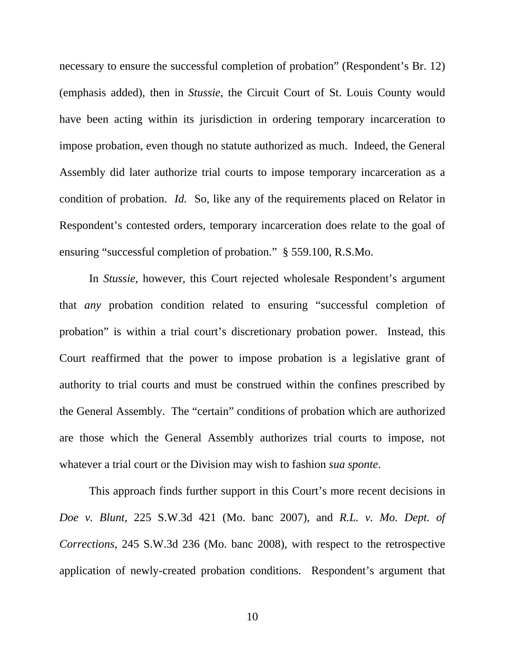necessary to ensure the successful completion of probation" (Respondent's Br. 12) (emphasis added), then in *Stussie*, the Circuit Court of St. Louis County would have been acting within its jurisdiction in ordering temporary incarceration to impose probation, even though no statute authorized as much. Indeed, the General Assembly did later authorize trial courts to impose temporary incarceration as a condition of probation. *Id.* So, like any of the requirements placed on Relator in Respondent's contested orders, temporary incarceration does relate to the goal of ensuring "successful completion of probation." § 559.100, R.S.Mo.

In *Stussie*, however, this Court rejected wholesale Respondent's argument that *any* probation condition related to ensuring "successful completion of probation" is within a trial court's discretionary probation power. Instead, this Court reaffirmed that the power to impose probation is a legislative grant of authority to trial courts and must be construed within the confines prescribed by the General Assembly. The "certain" conditions of probation which are authorized are those which the General Assembly authorizes trial courts to impose, not whatever a trial court or the Division may wish to fashion *sua sponte*.

This approach finds further support in this Court's more recent decisions in *Doe v. Blunt*, 225 S.W.3d 421 (Mo. banc 2007), and *R.L. v. Mo. Dept. of Corrections*, 245 S.W.3d 236 (Mo. banc 2008), with respect to the retrospective application of newly-created probation conditions. Respondent's argument that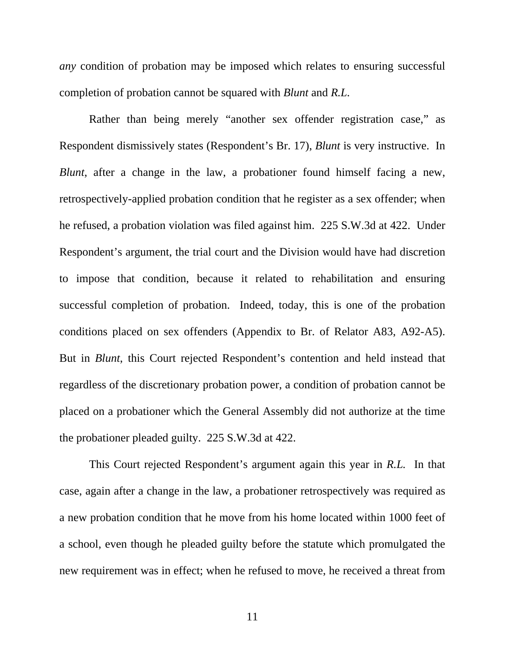*any* condition of probation may be imposed which relates to ensuring successful completion of probation cannot be squared with *Blunt* and *R.L.*

Rather than being merely "another sex offender registration case," as Respondent dismissively states (Respondent's Br. 17), *Blunt* is very instructive. In *Blunt*, after a change in the law, a probationer found himself facing a new, retrospectively-applied probation condition that he register as a sex offender; when he refused, a probation violation was filed against him. 225 S.W.3d at 422. Under Respondent's argument, the trial court and the Division would have had discretion to impose that condition, because it related to rehabilitation and ensuring successful completion of probation. Indeed, today, this is one of the probation conditions placed on sex offenders (Appendix to Br. of Relator A83, A92-A5). But in *Blunt*, this Court rejected Respondent's contention and held instead that regardless of the discretionary probation power, a condition of probation cannot be placed on a probationer which the General Assembly did not authorize at the time the probationer pleaded guilty. 225 S.W.3d at 422.

This Court rejected Respondent's argument again this year in *R.L.* In that case, again after a change in the law, a probationer retrospectively was required as a new probation condition that he move from his home located within 1000 feet of a school, even though he pleaded guilty before the statute which promulgated the new requirement was in effect; when he refused to move, he received a threat from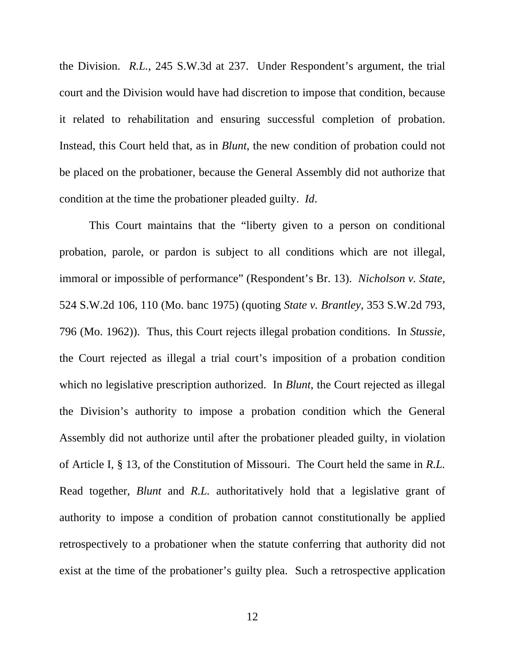the Division. *R.L.*, 245 S.W.3d at 237. Under Respondent's argument, the trial court and the Division would have had discretion to impose that condition, because it related to rehabilitation and ensuring successful completion of probation. Instead, this Court held that, as in *Blunt*, the new condition of probation could not be placed on the probationer, because the General Assembly did not authorize that condition at the time the probationer pleaded guilty. *Id*.

 This Court maintains that the "liberty given to a person on conditional probation, parole, or pardon is subject to all conditions which are not illegal, immoral or impossible of performance" (Respondent's Br. 13). *Nicholson v. State*, 524 S.W.2d 106, 110 (Mo. banc 1975) (quoting *State v. Brantley*, 353 S.W.2d 793, 796 (Mo. 1962)). Thus, this Court rejects illegal probation conditions. In *Stussie*, the Court rejected as illegal a trial court's imposition of a probation condition which no legislative prescription authorized. In *Blunt*, the Court rejected as illegal the Division's authority to impose a probation condition which the General Assembly did not authorize until after the probationer pleaded guilty, in violation of Article I, § 13, of the Constitution of Missouri. The Court held the same in *R.L.* Read together, *Blunt* and *R.L.* authoritatively hold that a legislative grant of authority to impose a condition of probation cannot constitutionally be applied retrospectively to a probationer when the statute conferring that authority did not exist at the time of the probationer's guilty plea. Such a retrospective application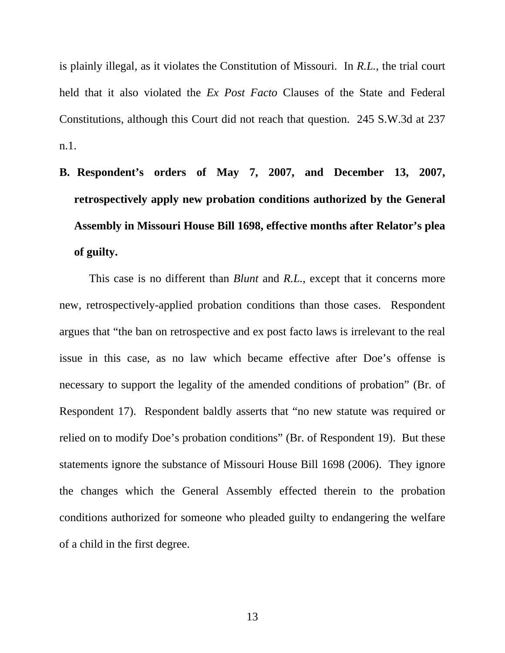is plainly illegal, as it violates the Constitution of Missouri. In *R.L.*, the trial court held that it also violated the *Ex Post Facto* Clauses of the State and Federal Constitutions, although this Court did not reach that question. 245 S.W.3d at 237 n.1.

**B. Respondent's orders of May 7, 2007, and December 13, 2007, retrospectively apply new probation conditions authorized by the General Assembly in Missouri House Bill 1698, effective months after Relator's plea of guilty.** 

 This case is no different than *Blunt* and *R.L.*, except that it concerns more new, retrospectively-applied probation conditions than those cases. Respondent argues that "the ban on retrospective and ex post facto laws is irrelevant to the real issue in this case, as no law which became effective after Doe's offense is necessary to support the legality of the amended conditions of probation" (Br. of Respondent 17). Respondent baldly asserts that "no new statute was required or relied on to modify Doe's probation conditions" (Br. of Respondent 19). But these statements ignore the substance of Missouri House Bill 1698 (2006). They ignore the changes which the General Assembly effected therein to the probation conditions authorized for someone who pleaded guilty to endangering the welfare of a child in the first degree.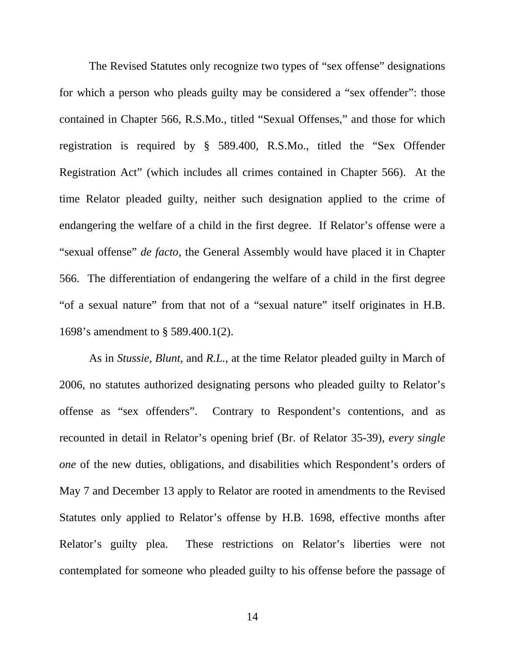The Revised Statutes only recognize two types of "sex offense" designations for which a person who pleads guilty may be considered a "sex offender": those contained in Chapter 566, R.S.Mo., titled "Sexual Offenses," and those for which registration is required by § 589.400, R.S.Mo., titled the "Sex Offender Registration Act" (which includes all crimes contained in Chapter 566). At the time Relator pleaded guilty, neither such designation applied to the crime of endangering the welfare of a child in the first degree. If Relator's offense were a "sexual offense" *de facto*, the General Assembly would have placed it in Chapter 566. The differentiation of endangering the welfare of a child in the first degree "of a sexual nature" from that not of a "sexual nature" itself originates in H.B. 1698's amendment to § 589.400.1(2).

As in *Stussie*, *Blunt*, and *R.L.*, at the time Relator pleaded guilty in March of 2006, no statutes authorized designating persons who pleaded guilty to Relator's offense as "sex offenders". Contrary to Respondent's contentions, and as recounted in detail in Relator's opening brief (Br. of Relator 35-39), *every single one* of the new duties, obligations, and disabilities which Respondent's orders of May 7 and December 13 apply to Relator are rooted in amendments to the Revised Statutes only applied to Relator's offense by H.B. 1698, effective months after Relator's guilty plea. These restrictions on Relator's liberties were not contemplated for someone who pleaded guilty to his offense before the passage of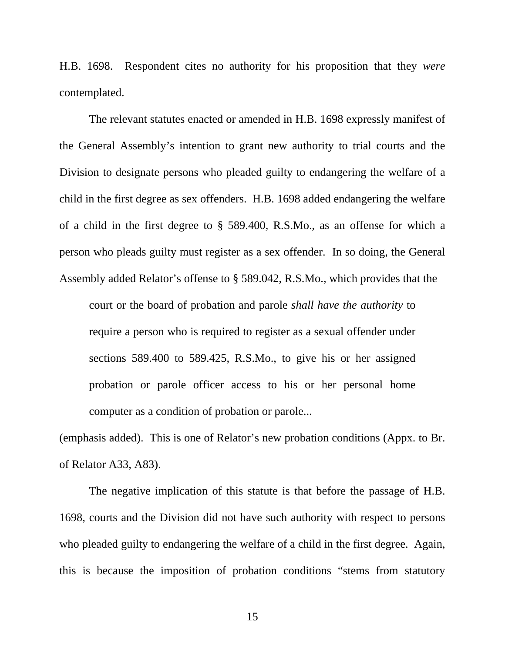H.B. 1698. Respondent cites no authority for his proposition that they *were*  contemplated.

 The relevant statutes enacted or amended in H.B. 1698 expressly manifest of the General Assembly's intention to grant new authority to trial courts and the Division to designate persons who pleaded guilty to endangering the welfare of a child in the first degree as sex offenders. H.B. 1698 added endangering the welfare of a child in the first degree to § 589.400, R.S.Mo., as an offense for which a person who pleads guilty must register as a sex offender. In so doing, the General Assembly added Relator's offense to § 589.042, R.S.Mo., which provides that the

court or the board of probation and parole *shall have the authority* to require a person who is required to register as a sexual offender under sections 589.400 to 589.425, R.S.Mo., to give his or her assigned probation or parole officer access to his or her personal home computer as a condition of probation or parole...

(emphasis added). This is one of Relator's new probation conditions (Appx. to Br. of Relator A33, A83).

The negative implication of this statute is that before the passage of H.B. 1698, courts and the Division did not have such authority with respect to persons who pleaded guilty to endangering the welfare of a child in the first degree. Again, this is because the imposition of probation conditions "stems from statutory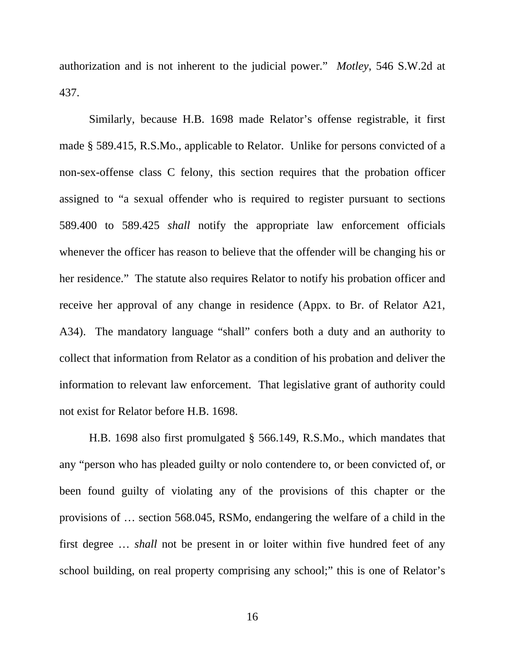authorization and is not inherent to the judicial power." *Motley*, 546 S.W.2d at 437.

Similarly, because H.B. 1698 made Relator's offense registrable, it first made § 589.415, R.S.Mo., applicable to Relator. Unlike for persons convicted of a non-sex-offense class C felony, this section requires that the probation officer assigned to "a sexual offender who is required to register pursuant to sections 589.400 to 589.425 *shall* notify the appropriate law enforcement officials whenever the officer has reason to believe that the offender will be changing his or her residence." The statute also requires Relator to notify his probation officer and receive her approval of any change in residence (Appx. to Br. of Relator A21, A34). The mandatory language "shall" confers both a duty and an authority to collect that information from Relator as a condition of his probation and deliver the information to relevant law enforcement. That legislative grant of authority could not exist for Relator before H.B. 1698.

H.B. 1698 also first promulgated § 566.149, R.S.Mo., which mandates that any "person who has pleaded guilty or nolo contendere to, or been convicted of, or been found guilty of violating any of the provisions of this chapter or the provisions of … section 568.045, RSMo, endangering the welfare of a child in the first degree … *shall* not be present in or loiter within five hundred feet of any school building, on real property comprising any school;" this is one of Relator's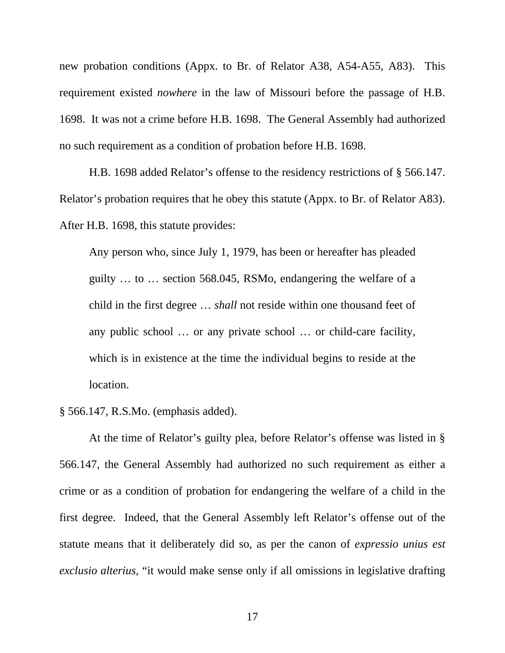new probation conditions (Appx. to Br. of Relator A38, A54-A55, A83). This requirement existed *nowhere* in the law of Missouri before the passage of H.B. 1698. It was not a crime before H.B. 1698. The General Assembly had authorized no such requirement as a condition of probation before H.B. 1698.

H.B. 1698 added Relator's offense to the residency restrictions of § 566.147. Relator's probation requires that he obey this statute (Appx. to Br. of Relator A83). After H.B. 1698, this statute provides:

Any person who, since July 1, 1979, has been or hereafter has pleaded guilty … to … section 568.045, RSMo, endangering the welfare of a child in the first degree … *shall* not reside within one thousand feet of any public school … or any private school … or child-care facility, which is in existence at the time the individual begins to reside at the location.

§ 566.147, R.S.Mo. (emphasis added).

At the time of Relator's guilty plea, before Relator's offense was listed in § 566.147, the General Assembly had authorized no such requirement as either a crime or as a condition of probation for endangering the welfare of a child in the first degree. Indeed, that the General Assembly left Relator's offense out of the statute means that it deliberately did so, as per the canon of *expressio unius est exclusio alterius*, "it would make sense only if all omissions in legislative drafting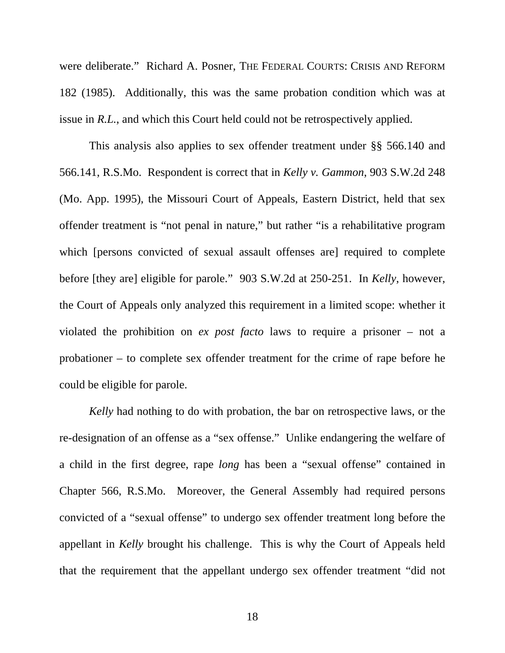were deliberate." Richard A. Posner, THE FEDERAL COURTS: CRISIS AND REFORM 182 (1985). Additionally, this was the same probation condition which was at issue in *R.L.*, and which this Court held could not be retrospectively applied.

This analysis also applies to sex offender treatment under §§ 566.140 and 566.141, R.S.Mo. Respondent is correct that in *Kelly v. Gammon*, 903 S.W.2d 248 (Mo. App. 1995), the Missouri Court of Appeals, Eastern District, held that sex offender treatment is "not penal in nature," but rather "is a rehabilitative program which [persons convicted of sexual assault offenses are] required to complete before [they are] eligible for parole." 903 S.W.2d at 250-251. In *Kelly*, however, the Court of Appeals only analyzed this requirement in a limited scope: whether it violated the prohibition on *ex post facto* laws to require a prisoner – not a probationer – to complete sex offender treatment for the crime of rape before he could be eligible for parole.

*Kelly* had nothing to do with probation, the bar on retrospective laws, or the re-designation of an offense as a "sex offense." Unlike endangering the welfare of a child in the first degree, rape *long* has been a "sexual offense" contained in Chapter 566, R.S.Mo. Moreover, the General Assembly had required persons convicted of a "sexual offense" to undergo sex offender treatment long before the appellant in *Kelly* brought his challenge. This is why the Court of Appeals held that the requirement that the appellant undergo sex offender treatment "did not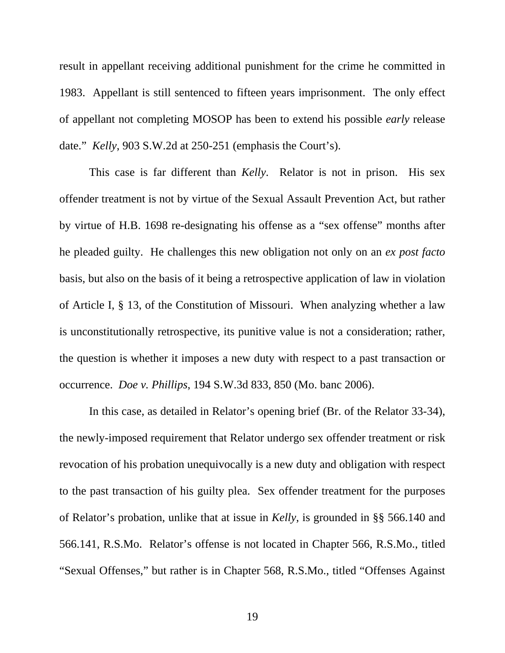result in appellant receiving additional punishment for the crime he committed in 1983. Appellant is still sentenced to fifteen years imprisonment. The only effect of appellant not completing MOSOP has been to extend his possible *early* release date." *Kelly*, 903 S.W.2d at 250-251 (emphasis the Court's).

This case is far different than *Kelly*. Relator is not in prison. His sex offender treatment is not by virtue of the Sexual Assault Prevention Act, but rather by virtue of H.B. 1698 re-designating his offense as a "sex offense" months after he pleaded guilty. He challenges this new obligation not only on an *ex post facto* basis, but also on the basis of it being a retrospective application of law in violation of Article I, § 13, of the Constitution of Missouri. When analyzing whether a law is unconstitutionally retrospective, its punitive value is not a consideration; rather, the question is whether it imposes a new duty with respect to a past transaction or occurrence. *Doe v. Phillips*, 194 S.W.3d 833, 850 (Mo. banc 2006).

In this case, as detailed in Relator's opening brief (Br. of the Relator 33-34), the newly-imposed requirement that Relator undergo sex offender treatment or risk revocation of his probation unequivocally is a new duty and obligation with respect to the past transaction of his guilty plea. Sex offender treatment for the purposes of Relator's probation, unlike that at issue in *Kelly*, is grounded in §§ 566.140 and 566.141, R.S.Mo. Relator's offense is not located in Chapter 566, R.S.Mo., titled "Sexual Offenses," but rather is in Chapter 568, R.S.Mo., titled "Offenses Against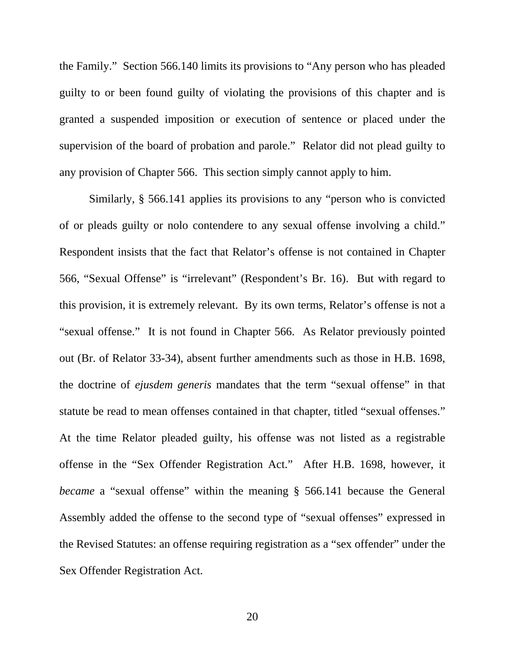the Family." Section 566.140 limits its provisions to "Any person who has pleaded guilty to or been found guilty of violating the provisions of this chapter and is granted a suspended imposition or execution of sentence or placed under the supervision of the board of probation and parole." Relator did not plead guilty to any provision of Chapter 566. This section simply cannot apply to him.

Similarly, § 566.141 applies its provisions to any "person who is convicted of or pleads guilty or nolo contendere to any sexual offense involving a child." Respondent insists that the fact that Relator's offense is not contained in Chapter 566, "Sexual Offense" is "irrelevant" (Respondent's Br. 16). But with regard to this provision, it is extremely relevant. By its own terms, Relator's offense is not a "sexual offense." It is not found in Chapter 566. As Relator previously pointed out (Br. of Relator 33-34), absent further amendments such as those in H.B. 1698, the doctrine of *ejusdem generis* mandates that the term "sexual offense" in that statute be read to mean offenses contained in that chapter, titled "sexual offenses." At the time Relator pleaded guilty, his offense was not listed as a registrable offense in the "Sex Offender Registration Act." After H.B. 1698, however, it *became* a "sexual offense" within the meaning § 566.141 because the General Assembly added the offense to the second type of "sexual offenses" expressed in the Revised Statutes: an offense requiring registration as a "sex offender" under the Sex Offender Registration Act.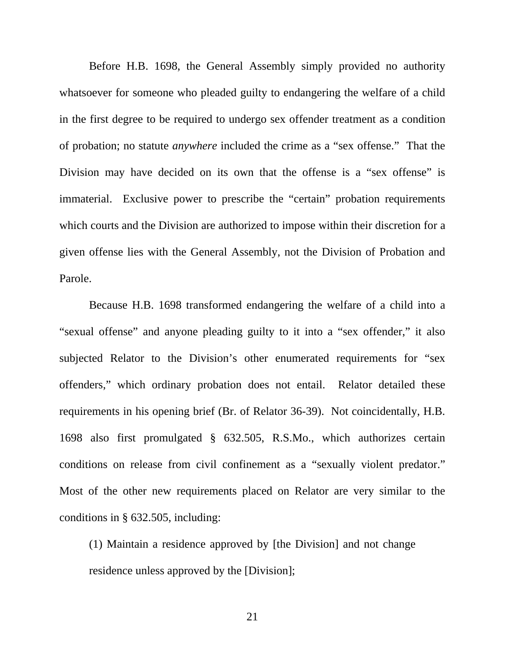Before H.B. 1698, the General Assembly simply provided no authority whatsoever for someone who pleaded guilty to endangering the welfare of a child in the first degree to be required to undergo sex offender treatment as a condition of probation; no statute *anywhere* included the crime as a "sex offense." That the Division may have decided on its own that the offense is a "sex offense" is immaterial. Exclusive power to prescribe the "certain" probation requirements which courts and the Division are authorized to impose within their discretion for a given offense lies with the General Assembly, not the Division of Probation and Parole.

Because H.B. 1698 transformed endangering the welfare of a child into a "sexual offense" and anyone pleading guilty to it into a "sex offender," it also subjected Relator to the Division's other enumerated requirements for "sex offenders," which ordinary probation does not entail. Relator detailed these requirements in his opening brief (Br. of Relator 36-39). Not coincidentally, H.B. 1698 also first promulgated § 632.505, R.S.Mo., which authorizes certain conditions on release from civil confinement as a "sexually violent predator." Most of the other new requirements placed on Relator are very similar to the conditions in § 632.505, including:

(1) Maintain a residence approved by [the Division] and not change residence unless approved by the [Division];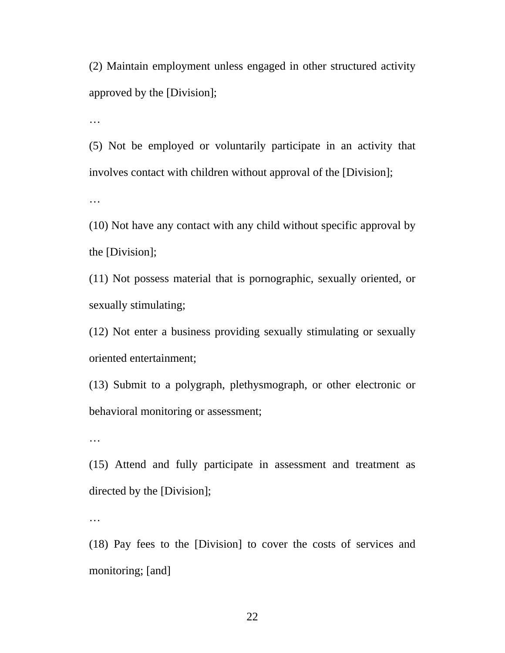(2) Maintain employment unless engaged in other structured activity approved by the [Division];

…

(5) Not be employed or voluntarily participate in an activity that involves contact with children without approval of the [Division];

…

(10) Not have any contact with any child without specific approval by the [Division];

(11) Not possess material that is pornographic, sexually oriented, or sexually stimulating;

(12) Not enter a business providing sexually stimulating or sexually oriented entertainment;

(13) Submit to a polygraph, plethysmograph, or other electronic or behavioral monitoring or assessment;

…

(15) Attend and fully participate in assessment and treatment as directed by the [Division];

…

(18) Pay fees to the [Division] to cover the costs of services and monitoring; [and]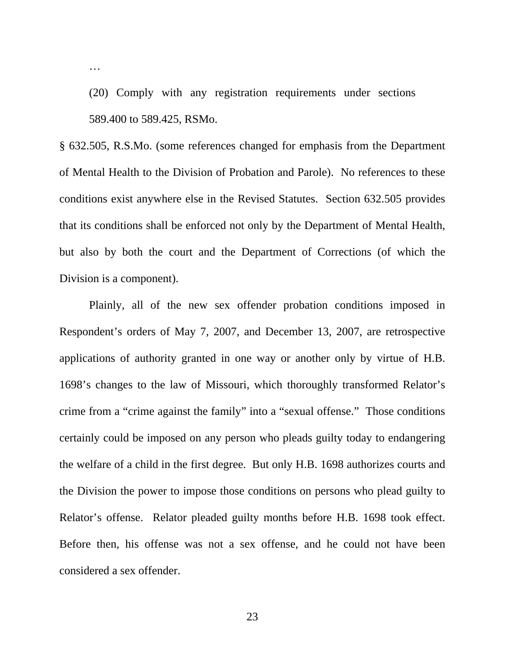(20) Comply with any registration requirements under sections 589.400 to 589.425, RSMo.

…

§ 632.505, R.S.Mo. (some references changed for emphasis from the Department of Mental Health to the Division of Probation and Parole). No references to these conditions exist anywhere else in the Revised Statutes. Section 632.505 provides that its conditions shall be enforced not only by the Department of Mental Health, but also by both the court and the Department of Corrections (of which the Division is a component).

Plainly, all of the new sex offender probation conditions imposed in Respondent's orders of May 7, 2007, and December 13, 2007, are retrospective applications of authority granted in one way or another only by virtue of H.B. 1698's changes to the law of Missouri, which thoroughly transformed Relator's crime from a "crime against the family" into a "sexual offense." Those conditions certainly could be imposed on any person who pleads guilty today to endangering the welfare of a child in the first degree. But only H.B. 1698 authorizes courts and the Division the power to impose those conditions on persons who plead guilty to Relator's offense. Relator pleaded guilty months before H.B. 1698 took effect. Before then, his offense was not a sex offense, and he could not have been considered a sex offender.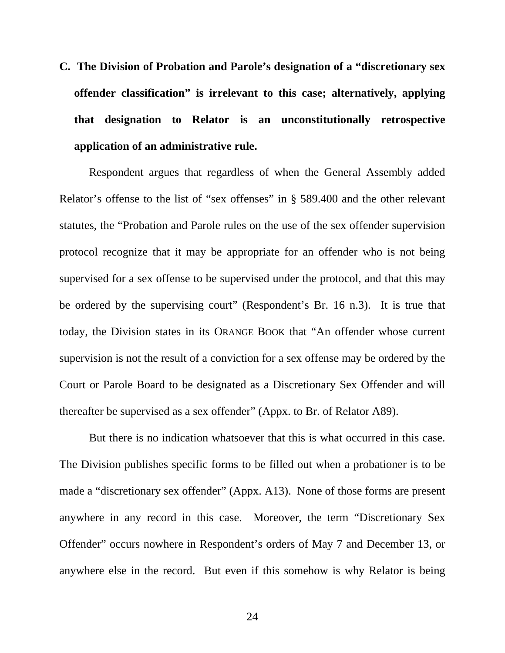**C. The Division of Probation and Parole's designation of a "discretionary sex offender classification" is irrelevant to this case; alternatively, applying that designation to Relator is an unconstitutionally retrospective application of an administrative rule.** 

Respondent argues that regardless of when the General Assembly added Relator's offense to the list of "sex offenses" in § 589.400 and the other relevant statutes, the "Probation and Parole rules on the use of the sex offender supervision protocol recognize that it may be appropriate for an offender who is not being supervised for a sex offense to be supervised under the protocol, and that this may be ordered by the supervising court" (Respondent's Br. 16 n.3). It is true that today, the Division states in its ORANGE BOOK that "An offender whose current supervision is not the result of a conviction for a sex offense may be ordered by the Court or Parole Board to be designated as a Discretionary Sex Offender and will thereafter be supervised as a sex offender" (Appx. to Br. of Relator A89).

But there is no indication whatsoever that this is what occurred in this case. The Division publishes specific forms to be filled out when a probationer is to be made a "discretionary sex offender" (Appx. A13). None of those forms are present anywhere in any record in this case. Moreover, the term "Discretionary Sex Offender" occurs nowhere in Respondent's orders of May 7 and December 13, or anywhere else in the record. But even if this somehow is why Relator is being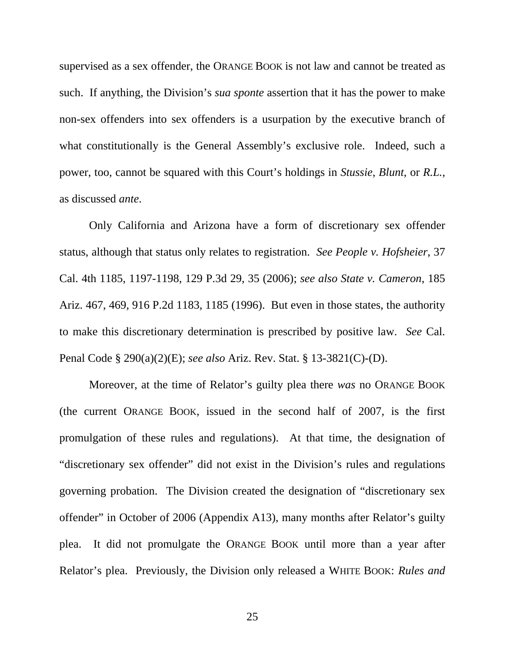supervised as a sex offender, the ORANGE BOOK is not law and cannot be treated as such. If anything, the Division's *sua sponte* assertion that it has the power to make non-sex offenders into sex offenders is a usurpation by the executive branch of what constitutionally is the General Assembly's exclusive role. Indeed, such a power, too, cannot be squared with this Court's holdings in *Stussie*, *Blunt*, or *R.L.*, as discussed *ante*.

Only California and Arizona have a form of discretionary sex offender status, although that status only relates to registration. *See People v. Hofsheier*, 37 Cal. 4th 1185, 1197-1198, 129 P.3d 29, 35 (2006); *see also State v. Cameron*, 185 Ariz. 467, 469, 916 P.2d 1183, 1185 (1996). But even in those states, the authority to make this discretionary determination is prescribed by positive law. *See* Cal. Penal Code § 290(a)(2)(E); *see also* Ariz. Rev. Stat. § 13-3821(C)-(D).

Moreover, at the time of Relator's guilty plea there *was* no ORANGE BOOK (the current ORANGE BOOK, issued in the second half of 2007, is the first promulgation of these rules and regulations). At that time, the designation of "discretionary sex offender" did not exist in the Division's rules and regulations governing probation. The Division created the designation of "discretionary sex offender" in October of 2006 (Appendix A13), many months after Relator's guilty plea. It did not promulgate the ORANGE BOOK until more than a year after Relator's plea. Previously, the Division only released a WHITE BOOK: *Rules and*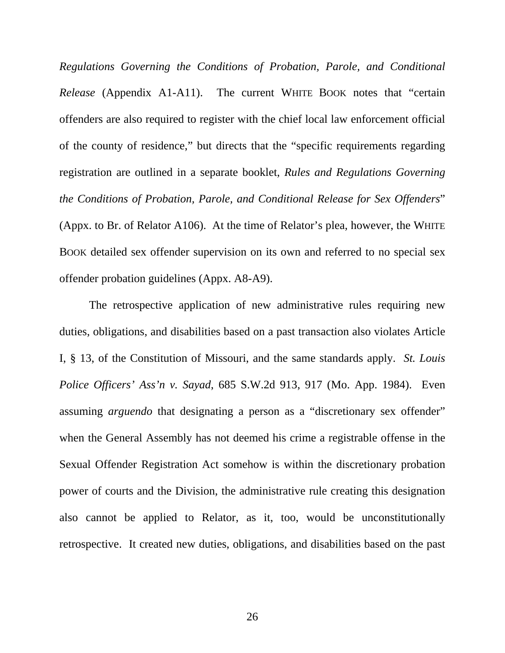*Regulations Governing the Conditions of Probation, Parole, and Conditional Release* (Appendix A1-A11). The current WHITE BOOK notes that "certain offenders are also required to register with the chief local law enforcement official of the county of residence," but directs that the "specific requirements regarding registration are outlined in a separate booklet, *Rules and Regulations Governing the Conditions of Probation, Parole, and Conditional Release for Sex Offenders*" (Appx. to Br. of Relator A106). At the time of Relator's plea, however, the WHITE BOOK detailed sex offender supervision on its own and referred to no special sex offender probation guidelines (Appx. A8-A9).

The retrospective application of new administrative rules requiring new duties, obligations, and disabilities based on a past transaction also violates Article I, § 13, of the Constitution of Missouri, and the same standards apply. *St. Louis Police Officers' Ass'n v. Sayad*, 685 S.W.2d 913, 917 (Mo. App. 1984). Even assuming *arguendo* that designating a person as a "discretionary sex offender" when the General Assembly has not deemed his crime a registrable offense in the Sexual Offender Registration Act somehow is within the discretionary probation power of courts and the Division, the administrative rule creating this designation also cannot be applied to Relator, as it, too, would be unconstitutionally retrospective. It created new duties, obligations, and disabilities based on the past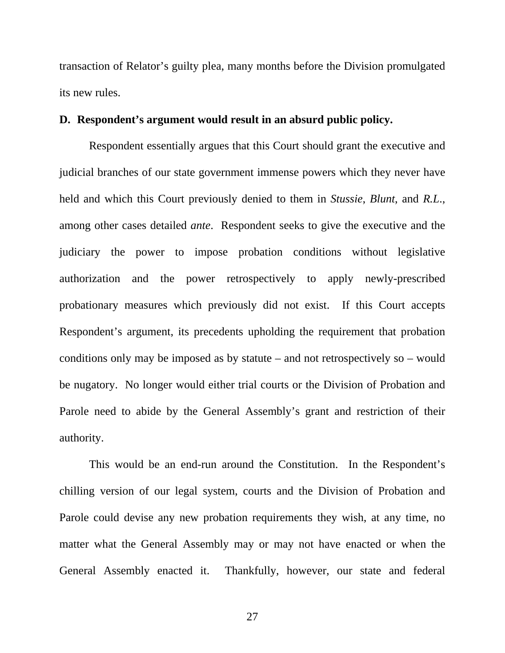transaction of Relator's guilty plea, many months before the Division promulgated its new rules.

### **D. Respondent's argument would result in an absurd public policy.**

Respondent essentially argues that this Court should grant the executive and judicial branches of our state government immense powers which they never have held and which this Court previously denied to them in *Stussie*, *Blunt*, and *R.L*., among other cases detailed *ante*. Respondent seeks to give the executive and the judiciary the power to impose probation conditions without legislative authorization and the power retrospectively to apply newly-prescribed probationary measures which previously did not exist. If this Court accepts Respondent's argument, its precedents upholding the requirement that probation conditions only may be imposed as by statute – and not retrospectively so – would be nugatory. No longer would either trial courts or the Division of Probation and Parole need to abide by the General Assembly's grant and restriction of their authority.

This would be an end-run around the Constitution. In the Respondent's chilling version of our legal system, courts and the Division of Probation and Parole could devise any new probation requirements they wish, at any time, no matter what the General Assembly may or may not have enacted or when the General Assembly enacted it. Thankfully, however, our state and federal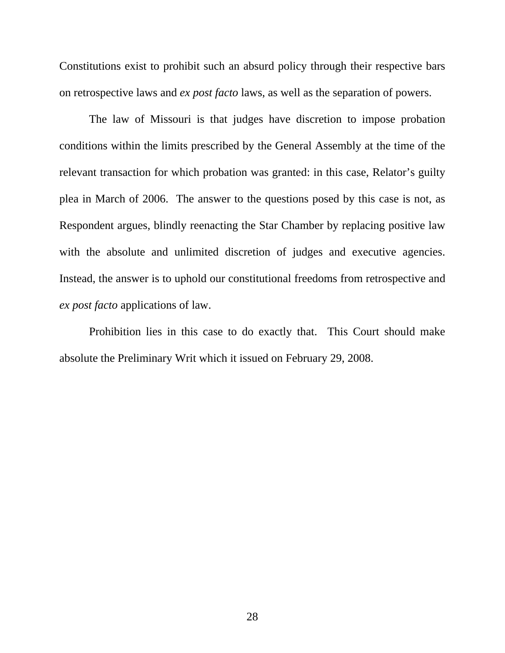Constitutions exist to prohibit such an absurd policy through their respective bars on retrospective laws and *ex post facto* laws, as well as the separation of powers.

The law of Missouri is that judges have discretion to impose probation conditions within the limits prescribed by the General Assembly at the time of the relevant transaction for which probation was granted: in this case, Relator's guilty plea in March of 2006. The answer to the questions posed by this case is not, as Respondent argues, blindly reenacting the Star Chamber by replacing positive law with the absolute and unlimited discretion of judges and executive agencies. Instead, the answer is to uphold our constitutional freedoms from retrospective and *ex post facto* applications of law.

Prohibition lies in this case to do exactly that. This Court should make absolute the Preliminary Writ which it issued on February 29, 2008.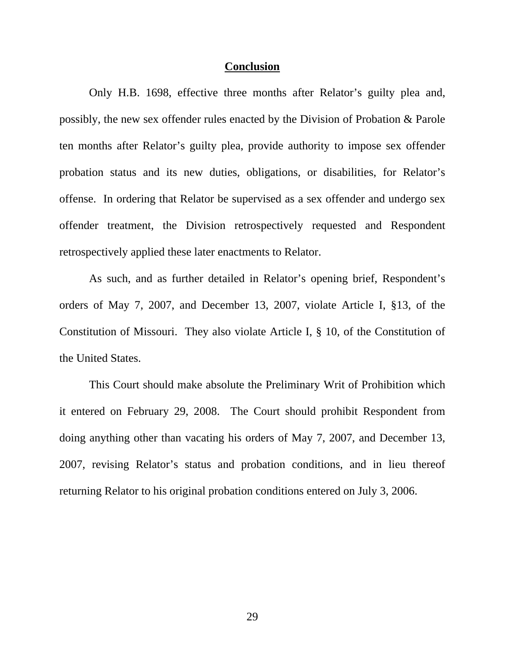#### **Conclusion**

Only H.B. 1698, effective three months after Relator's guilty plea and, possibly, the new sex offender rules enacted by the Division of Probation & Parole ten months after Relator's guilty plea, provide authority to impose sex offender probation status and its new duties, obligations, or disabilities, for Relator's offense. In ordering that Relator be supervised as a sex offender and undergo sex offender treatment, the Division retrospectively requested and Respondent retrospectively applied these later enactments to Relator.

 As such, and as further detailed in Relator's opening brief, Respondent's orders of May 7, 2007, and December 13, 2007, violate Article I, §13, of the Constitution of Missouri. They also violate Article I, § 10, of the Constitution of the United States.

 This Court should make absolute the Preliminary Writ of Prohibition which it entered on February 29, 2008. The Court should prohibit Respondent from doing anything other than vacating his orders of May 7, 2007, and December 13, 2007, revising Relator's status and probation conditions, and in lieu thereof returning Relator to his original probation conditions entered on July 3, 2006.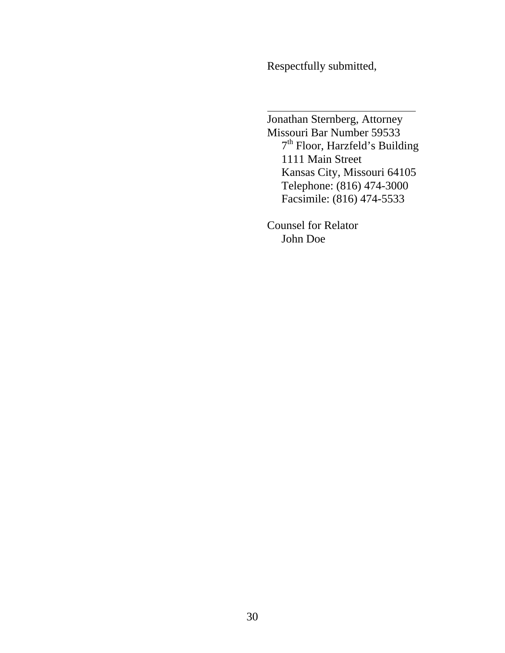Respectfully submitted,

 Jonathan Sternberg, Attorney Missouri Bar Number 59533 7th Floor, Harzfeld's Building 1111 Main Street Kansas City, Missouri 64105 Telephone: (816) 474-3000 Facsimile: (816) 474-5533

> Counsel for Relator John Doe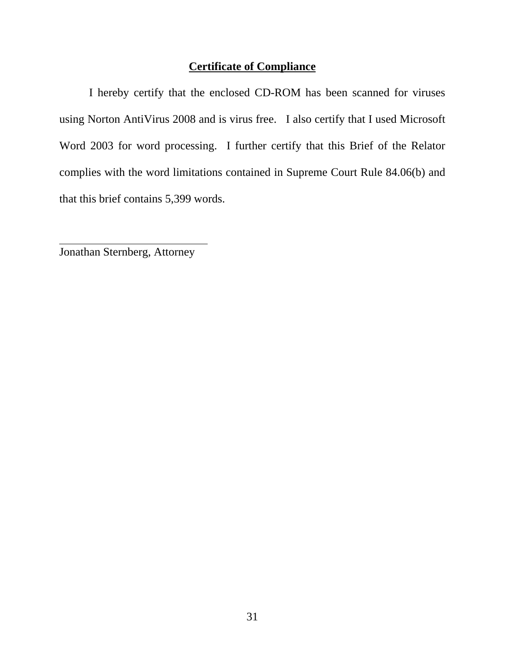## **Certificate of Compliance**

 I hereby certify that the enclosed CD-ROM has been scanned for viruses using Norton AntiVirus 2008 and is virus free. I also certify that I used Microsoft Word 2003 for word processing. I further certify that this Brief of the Relator complies with the word limitations contained in Supreme Court Rule 84.06(b) and that this brief contains 5,399 words.

Jonathan Sternberg, Attorney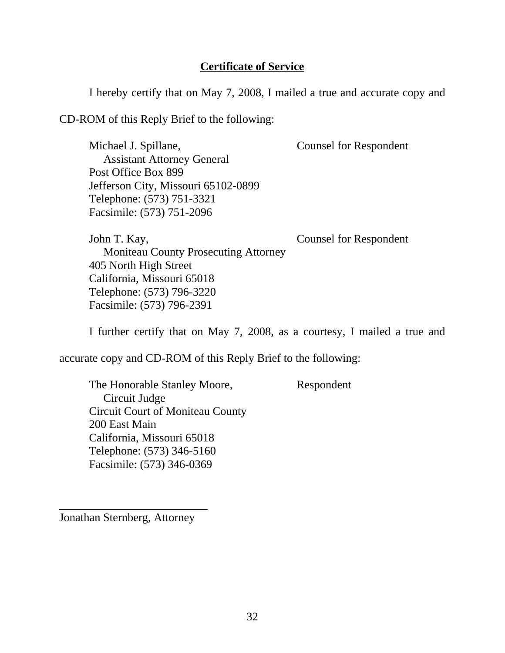## **Certificate of Service**

I hereby certify that on May 7, 2008, I mailed a true and accurate copy and

CD-ROM of this Reply Brief to the following:

Michael J. Spillane, Counsel for Respondent

 Assistant Attorney General Post Office Box 899 Jefferson City, Missouri 65102-0899 Telephone: (573) 751-3321 Facsimile: (573) 751-2096

John T. Kay, Counsel for Respondent Moniteau County Prosecuting Attorney 405 North High Street California, Missouri 65018 Telephone: (573) 796-3220 Facsimile: (573) 796-2391

I further certify that on May 7, 2008, as a courtesy, I mailed a true and

accurate copy and CD-ROM of this Reply Brief to the following:

The Honorable Stanley Moore, Respondent Circuit Judge Circuit Court of Moniteau County 200 East Main California, Missouri 65018 Telephone: (573) 346-5160 Facsimile: (573) 346-0369

Jonathan Sternberg, Attorney